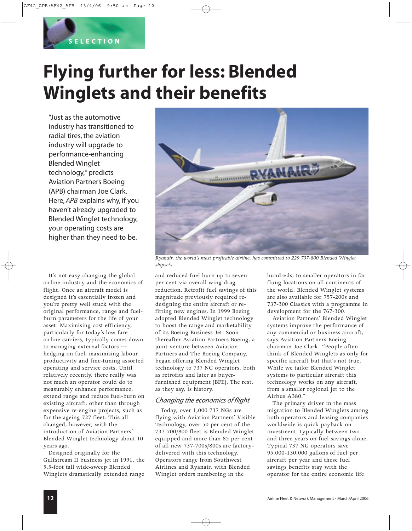# **Flying further for less: Blended Winglets and their benefits**

"Just as the automotive industry has transitioned to radial tires, the aviation industry will upgrade to performance-enhancing Blended Winglet technology," predicts Aviation Partners Boeing (APB) chairman Joe Clark. Here, *APB* explains why, if you haven't already upgraded to Blended Winglet technology, your operating costs are higher than they need to be.

**SELECTION**

It's not easy changing the global airline industry and the economics of flight. Once an aircraft model is designed it's essentially frozen and you're pretty well stuck with the original performance, range and fuelburn parameters for the life of your asset. Maximising cost efficiency, particularly for today's low-fare airline carriers, typically comes down to managing external factors hedging on fuel, maximising labour productivity and fine-tuning assorted operating and service costs. Until relatively recently, there really was not much an operator could do to measurably enhance performance, extend range and reduce fuel-burn on existing aircraft, other than through expensive re-engine projects, such as for the ageing 727 fleet. This all changed, however, with the introduction of Aviation Partners' Blended Winglet technology about 10 years ago.

Designed originally for the Gulfstream II business jet in 1991, the 5.5-foot tall wide-sweep Blended Winglets dramatically extended range



*Ryanair, the world's most profitable airline, has committed to 229 737-800 Blended Winglet shipsets.*

and reduced fuel burn up to seven per cent via overall wing drag reduction. Retrofit fuel savings of this magnitude previously required redesigning the entire aircraft or refitting new engines. In 1999 Boeing adopted Blended Winglet technology to boost the range and marketability of its Boeing Business Jet. Soon thereafter Aviation Partners Boeing, a joint venture between Aviation Partners and The Boeing Company, began offering Blended Winglet technology to 737 NG operators, both as retrofits and later as buyerfurnished equipment (BFE). The rest, as they say, is history.

## *Changing the economics of flight*

Today, over 1,000 737 NGs are flying with Aviation Partners' Visible Technology, over 50 per cent of the 737-700/800 fleet is Blended Wingletequipped and more than 85 per cent of all new 737-700s/800s are factorydelivered with this technology. Operators range from Southwest Airlines and Ryanair, with Blended Winglet orders numbering in the

hundreds, to smaller operators in farflung locations on all continents of the world. Blended Winglet systems are also available for 757-200s and 737-300 Classics with a programme in development for the 767-300.

Aviation Partners' Blended Winglet systems improve the performance of any commercial or business aircraft, says Aviation Partners Boeing chairman Joe Clark: "People often think of Blended Winglets as only for specific aircraft but that's not true. While we tailor Blended Winglet systems to particular aircraft this technology works on any aircraft, from a smaller regional jet to the Airbus A380."

The primary driver in the mass migration to Blended Winglets among both operators and leasing companies worldwide is quick payback on investment: typically between two and three years on fuel savings alone. Typical 737 NG operators save 95,000-130,000 gallons of fuel per aircraft per year and these fuel savings benefits stay with the operator for the entire economic life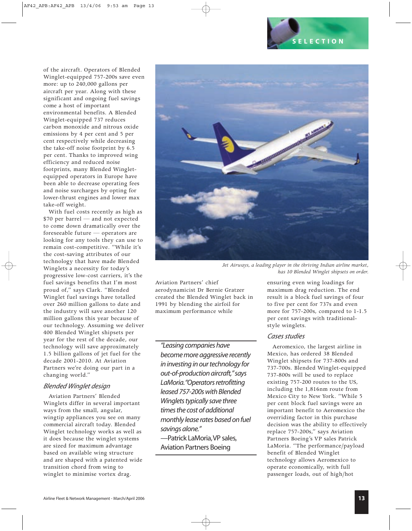of the aircraft. Operators of Blended Winglet-equipped 757-200s save even more: up to 240,000 gallons per aircraft per year. Along with these significant and ongoing fuel savings come a host of important environmental benefits. A Blended Winglet-equipped 737 reduces carbon monoxide and nitrous oxide emissions by 4 per cent and 5 per cent respectively while decreasing the take-off noise footprint by 6.5 per cent. Thanks to improved wing efficiency and reduced noise footprints, many Blended Wingletequipped operators in Europe have been able to decrease operating fees and noise surcharges by opting for lower-thrust engines and lower max take-off weight.

With fuel costs recently as high as \$70 per barrel — and not expected to come down dramatically over the foreseeable future — operators are looking for any tools they can use to remain cost-competitive. "While it's the cost-saving attributes of our technology that have made Blended Winglets a necessity for today's progressive low-cost carriers, it's the fuel savings benefits that I'm most proud of," says Clark. "Blended Winglet fuel savings have totalled over 260 million gallons to date and the industry will save another 120 million gallons this year because of our technology. Assuming we deliver 400 Blended Winglet shipsets per year for the rest of the decade, our technology will save approximately 1.5 billion gallons of jet fuel for the decade 2001-2010. At Aviation Partners we're doing our part in a changing world."

## *Blended Winglet design*

Aviation Partners' Blended Winglets differ in several important ways from the small, angular, wingtip appliances you see on many commercial aircraft today. Blended Winglet technology works as well as it does because the winglet systems are sized for maximum advantage based on available wing structure and are shaped with a patented wide transition chord from wing to winglet to minimise vortex drag.



*Jet Airways, a leading player in the thriving Indian airline market, has 10 Blended Winglet shipsets on order.*

Aviation Partners' chief aerodynamicist Dr Bernie Gratzer created the Blended Winglet back in 1991 by blending the airfoil for maximum performance while

*"Leasing companies have become more aggressive recently in investing in our technology for out-of-production aircraft,"says LaMoria."Operators retrofitting leased 757-200s with Blended Winglets typically save three times the cost of additional monthly lease rates based on fuel savings alone."*

—Patrick LaMoria,VP sales, Aviation Partners Boeing

ensuring even wing loadings for maximum drag reduction. The end result is a block fuel savings of four to five per cent for 737s and even more for 757-200s, compared to 1-1.5 per cent savings with traditionalstyle winglets.

## *Cases studies*

Aeromexico, the largest airline in Mexico, has ordered 38 Blended Winglet shipsets for 737-800s and 737-700s. Blended Winglet-equipped 737-800s will be used to replace existing 757-200 routes to the US, including the 1,816nm route from Mexico City to New York. "While 5 per cent block fuel savings were an important benefit to Aeromexico the overriding factor in this purchase decision was the ability to effectively replace 757-200s," says Aviation Partners Boeing's VP sales Patrick LaMoria. "The performance/payload benefit of Blended Winglet technology allows Aeromexico to operate economically, with full passenger loads, out of high/hot